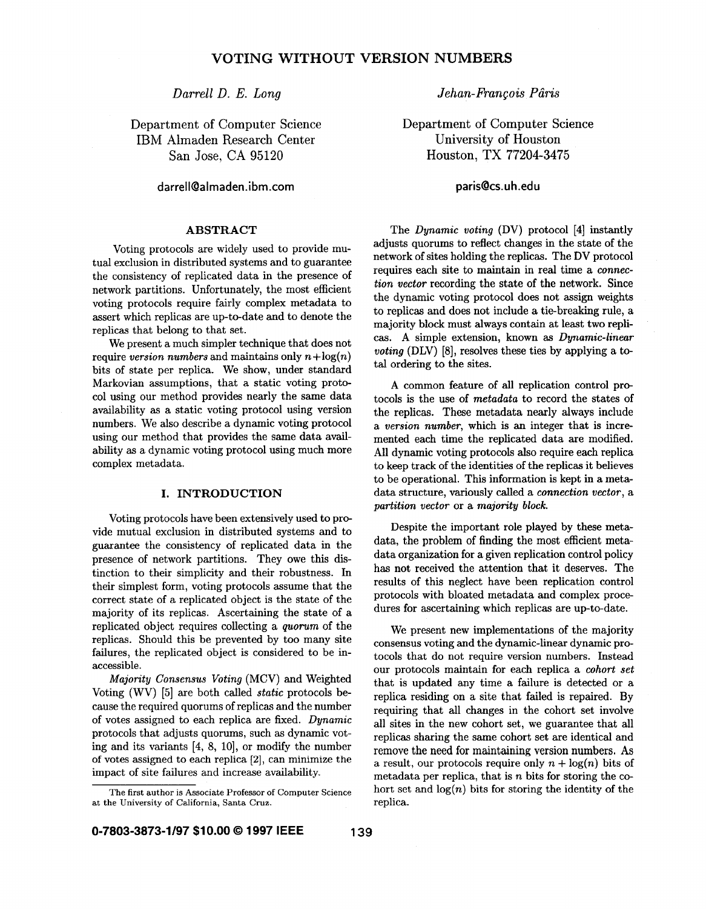*Darrell D. E. Long* 

# Department of Computer Science IBM Almaden Research Center San Jose, **CA 95120**

**[darrell@almaden.ibm.com](mailto:darrell@almaden.ibm.com)** 

#### **ABSTRACT**

Voting protocols are widely used to provide mutual exclusion in distributed systems and to guarantee the consistency of replicated data in the presence of network partitions. Unfortunately, the most efficient voting protocols require fairly complex metadata to assert which replicas are up-to-date and to denote the replicas that belong to that set.

We present a much simpler technique that does not require *version numbers* and maintains only  $n + log(n)$ bits of state per replica. We show, under standard Markovian assumptions, that a static voting protocol using our method provides nearly the same data availability **as** a static voting protocol using version numbers. We also describe a dynamic voting protocol using our method that provides the same data availability **as** a dynamic voting protocol using much more complex metadata.

#### **I. INTRODUCTION**

Voting protocols have been extensively used to provide mutual exclusion in distributed systems and to guarantee the consistency of replicated data in the presence of network partitions. They owe this distinction to their simplicity and their robustness. In their simplest form, voting protocols assume that the correct state of a replicated object is the state of the majority of its replicas. Ascertaining the state of a replicated object requires collecting a *quorum* of the replicas. Should this be prevented by too many site failures, the replicated object is considered to be inaccessible.

*Majority Consensus Voting* (MCV) and Weighted Voting (WV) [5] are both called *static* protocols because the required quorums of replicas and the number of votes assigned to each replica are fixed. *Dynamic*  protocols that adjusts quorums, such **as** dynamic voting and its variants **[4,** 8, lo], or modify the number of votes assigned to each replica **221,** can minimize the impact of site failures and increase availability.

 $Jehan-Francois Pâris$ 

Department of Computer Science University of Houston Houston, TX **77204-3475** 

# **paris@cs. u h.edu**

The *Dynamic voting* (DV) protocol **[4]** instantly adjusts quorums to reflect changes in the state of the network of sites holding the replicas. The DV protocol requires each site to maintain in real time a *connection vector* recording the state of the network. Since the dynamic voting protocol does not assign weights to replicas and does not include a tie-breaking rule, a majority block must always contain at least two replicas. A simple extension, known **as** *Dynamic-linear voting* (DLV) *[8],* resolves these ties by applying a total ordering to the sites.

**A** common feature of all replication control protocols is the use of *metadata* to record the states of the replicas. These metadata nearly always include a *version number,* which is an integer that is incremented each time the replicated data are modified. All dynamic voting protocols also require each replica to keep track of the identities of the replicas it believes to be operational. This information is kept in a metadata structure, variously called a *connection vector,* a *partition vector* or a *majority block.* 

Despite the important role played by these metadata, the problem of finding the most efficient metadata organization for a given replication control policy **has** not received the attention that it deserves. The results of this neglect have been replication control protocols with bloated metadata and complex procedures for ascertaining which replicas are up-to-date.

We present new implementations of the majority consensus voting and the dynamic-linear dynamic protocols that do not require version numbers. Instead our protocols maintain for each replica a *cohort set*  that is updated any time a failure is detected or a replica residing on a site that failed is repaired. By requiring that all changes in the cohort set involve all sites in the new cohort set, we guarantee that all replicas sharing the same cohort set are identical and remove the need for maintaining version numbers. **As**  a result, our protocols require only  $n + \log(n)$  bits of metadata per replica, that is *n* bits for storing the cohort set and  $log(n)$  bits for storing the identity of the replica.

**at the University of California, Santa Cruz. The first author** is **Associate Professor** of **Computer Science**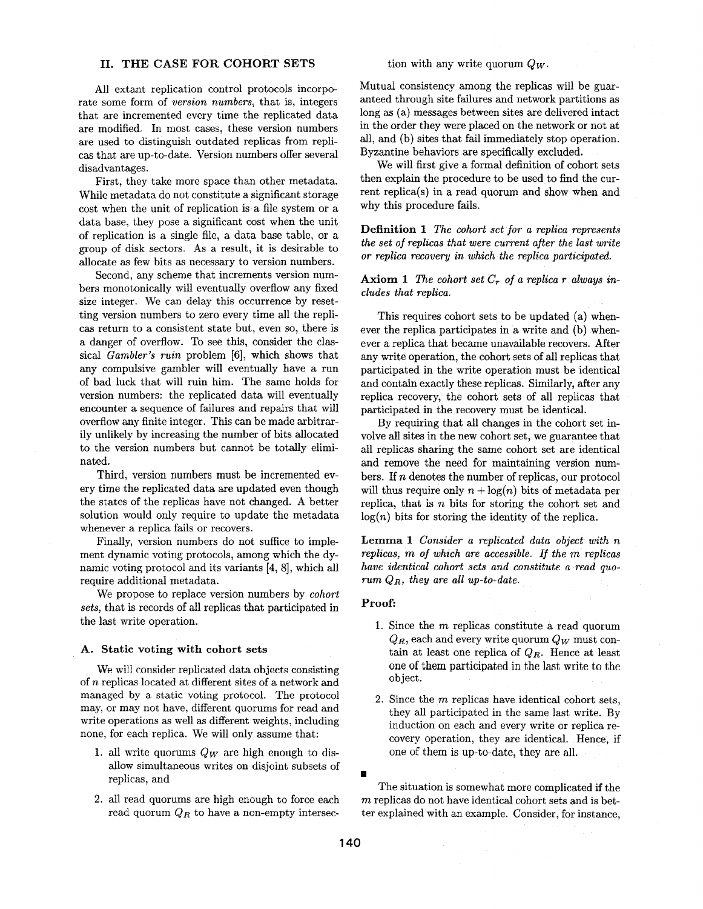## **11. THE CASE FOR COHORT SETS**

All extant replication control protocols incorporate some form of *version numbers*, that is, integers that are incremented every time the replicated data are modified. In most cases, these version numbers are used to distinguish outdated replicas from replicas that are up-to-date. Version numbers offer several disadvantages.

First, they take more space than other metadata. While metadata do not constitute a significant storage cost when the unit of replication is a file system or a data base, they pose a significant cost when the unit of replication is a single file, a data base table, or a group of disk sectors. As **a** result, it is desirable to allocate as few bits as necessary to version numbers.

Second. any scheme that increments version numbers monotonically will eventually overflow any fixed size integer. We can delay this occurrence by resetting version numbers to zero every time all the replicas return to a consistent state but, even so, there is a danger of overflow. To see this, consider the classical *Gambler's ruin* problem [6], which shows that any compulsive gambler will eventually have a run of bad luck that will ruin him. The same holds for version numbers: the replicated data will eventually encounter a sequence of failures and repairs that will overflow any finite integer. This can be made arbitrarily unlikely by increasing the number of bits allocated to the version numbers but cannot be totally eliminated.

Third, version numbers must be incremented every time the replicated data are updated even though the states of the replicas have not changed. A better solution would only require to update the metadata whenever a replica fails or recovers.

Finally, version numbers do not suffice to implement dynamic voting protocols, among which the dynamic voting protocol and its variants **(4,** 81, which all require additional metadata.

We propose to replace version numbers by *cohort sets,* that is records of all replicas that participated in the last write operation.

#### **A. Static voting with cohort sets**

**We** will consider replicated data objects consisting of n replicas located at different sites of a network and managed by a static voting protocol. The protocol may, or may not have, different quorums for read and write operations as well as different weights, including none, for each replica. We will only assume that:

- 1. all write quorums  $Q_W$  are high enough to disallow simultaneous writes on disjoint subsets of replicas, and
- **2.**  all read quorums are high enough to force each read quorum  $Q_R$  to have a non-empty intersec-

#### tion with any write quorum *Qw.*

Mutual consistency among the replicas will be guaranteed through site failures and network partitions **as**  long **as** (a) messages between sites are delivered intact in the order they were placed on the network or not at all, and (b) sites that fail immediately stop operation. Byzantine behaviors are specifically excluded.

We will first give a formal definition of cohort sets then explain the procedure to be used to find the current replica(s) in a read quorum and show when and why this procedure fails.

**Definition 1** *The cohort set for a replica represents the set* of *replicas that were current afier the last write or replica recovery in which the replica participated.* 

**Axiom 1** The cohort set  $C_r$  of a replica r always in*cludes that replica.* 

This requires cohort sets to be updated (a) whenever the replica participates in a write and (b) whenever a replica that became unavailable recovers. After any write operation, the cohort sets of all replicas that participated in the write operation must be identical and contain exactly these replicas. Similarly, after any replica recovery, the cohort sets of all replicas that participated in the recovery must be identical.

By requiring that all changes in the cohort set involve all sites in the new cohort set, we guarantee that all replicas sharing the same cohort set are identical and remove the need for maintaining version numbers. If *n* denotes the number of replicas, our protocol will thus require only  $n + \log(n)$  bits of metadata per replica, that is n bits for storing the cohort set and  $log(n)$  bits for storing the identity of the replica.

**Lemma 1** *Consider a replicated data object with* n *replicas, m of which are accessible. If the m replicas have identical cohort sets and constitute a read quorum QR, they are all up-to-date.* 

#### **Proof:**

- 1. Since the *m* replicas constitute a read quorum *QR,* each and every write quorum *QW* must contain at least one replica of *QR.* Hence at least one of them participated in the last write to the object.
- **2.** Since the *m* replicas have identical cohort sets, they all participated in the same last write. By induction on each and every write or replica recovery operation, they are identical. Hence, if one of them is up-to-date, they are all.

The situation is somewhat more complicated if the *m* replicas do not have identical cohort sets and is better explained with an example. Consider, for instance,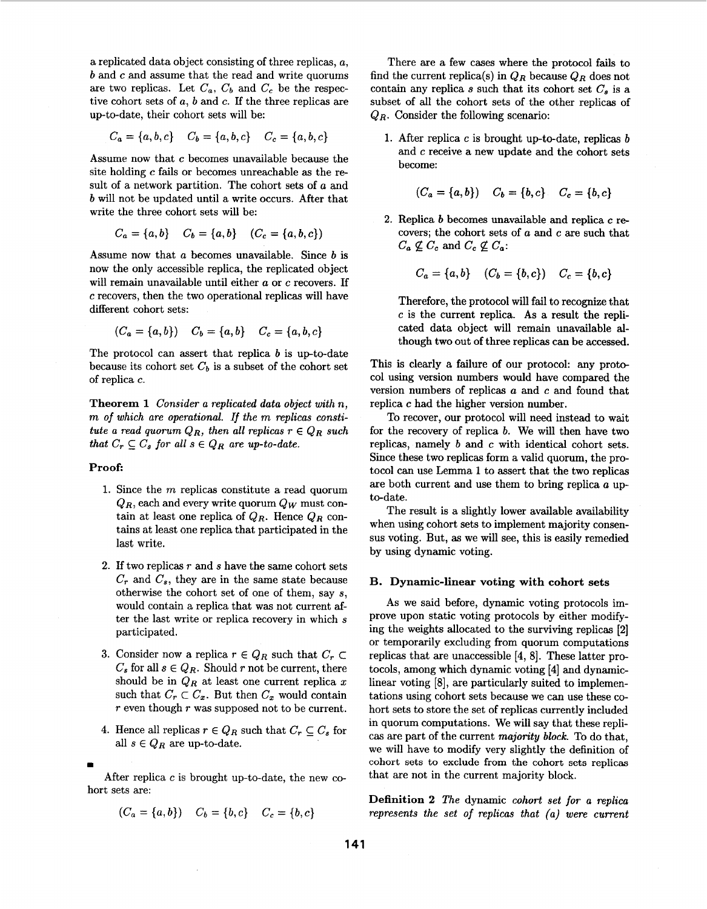a replicated data object consisting of three replicas, *a, b* and *c* and assume that the read and write quorums are two replicas. Let  $C_a$ ,  $C_b$  and  $C_c$  be the respective cohort sets of *a, b* and *c.* If the three replicas are up-to-date, their cohort sets will be:

$$
C_a = \{a, b, c\} \quad C_b = \{a, b, c\} \quad C_c = \{a, b, c\}
$$

Assume now that *c* becomes unavailable because the site holding *c* fails or becomes unreachable as the result of a network partition. The cohort sets of *a* and *b* will not be updated until a write occurs. After that write the three cohort sets will be:

$$
C_a = \{a, b\} \quad C_b = \{a, b\} \quad (C_c = \{a, b, c\})
$$

Assume now that *a* becomes unavailable. Since *b* is now the only accessible replica, the replicated object will remain unavailable until either *a* or *c* recovers. *If c* recovers, then the two operational replicas will have different cohort sets:

$$
(C_a = \{a, b\}) \quad C_b = \{a, b\} \quad C_c = \{a, b, c\}
$$

The protocol can assert that replica *b* is up-to-date because its cohort set  $C_b$  is a subset of the cohort set of replica *e.* 

**Theorem 1** *Consider a replicated data object with n, m* of *which are operational. If the m replicas constitute a read quorum*  $Q_R$ , then all replicas  $r \in Q_R$  such *that*  $C_r \subseteq C_s$  *for all*  $s \in Q_R$  *are up-to-date.* 

#### **Proof:**

- **1.**  Since the *m* replicas constitute a read quorum  $Q_R$ , each and every write quorum  $Q_W$  must contain at least one replica of  $Q_R$ . Hence  $Q_R$  contains at least one replica that participated in the last write.
- **2.**  If two replicas *r* and s have the same cohort sets  $C_r$  and  $C_s$ , they are in the same state because otherwise the cohort set of one of them, say **s,**  would contain a replica that was not current after the last write or replica recovery in which s participated.
- **3.** Consider now a replica  $r \in Q_R$  such that  $C_r \subset$  $C_s$  for all  $s \in Q_R$ . Should *r* not be current, there should be in  $Q_R$  at least one current replica x such that  $C_r \subset C_x$ . But then  $C_x$  would contain *r* even though *r* was supposed not to be current.
- **4.** Hence all replicas  $r \in Q_R$  such that  $C_r \subseteq C_s$  for all  $s \in Q_R$  are up-to-date.

After replica *c* is brought up-to-date, the new cohort sets are:

$$
(C_a = \{a, b\}) \quad C_b = \{b, c\} \quad C_c = \{b, c\}
$$

There are a few cases where the protocol fails to find the current replica(s) in  $Q_R$  because  $Q_R$  does not contain any replica s such that its cohort set  $C_s$  is a subset of all the cohort sets of the other replicas of *QR.* Consider the following scenario:

**1.**  After replica *c* is brought up-to-date, replicas *b*  and *c* receive a new update and the cohort sets become:

$$
(C_a = \{a, b\}) \quad C_b = \{b, c\} \quad C_c = \{b, c\}
$$

**2.**  Replica *b* becomes unavailable and replica *c* recovers; the cohort sets of *a* and *c* are such that  $C_a \not\subseteq C_c$  and  $C_c \not\subseteq C_a$ :

$$
C_a = \{a, b\} \quad (C_b = \{b, c\}) \quad C_c = \{b, c\}
$$

Therefore, the protocol will fail to recognize that *c* is the current replica. **As** a result the replicated data object will remain unavailable although two out of three replicas can be accessed.

This is clearly a failure of our protocol: any protocol using version numbers would have compared the version numbers of replicas *a* and *c* and found that replica *c* had the higher version number.

To recover, our protocol will need instead to wait for the recovery of replica *b.* We will then have two replicas, namely *b* and *c* with identical cohort sets. Since these two replicas form a valid quorum, the protocol can use Lemma **1** to assert that the two replicas are both current and use them to bring replica *a* upto-date.

The result is a slightly lower available availability when using cohort sets to implement majority consensus voting. But, **as** we will see, this is easily remedied by using dynamic voting.

#### **B. Dynamic-linear voting with cohort sets**

As we said before, dynamic voting protocols improve upon static voting protocols by either modifying the weights allocated to the surviving replicas [2] or temporarily excluding from quorum computations replicas that are unaccessible **[4, 81.** These latter protocols, among which dynamic voting **[4]** and dynamiclinear voting *[8],* are particularly suited to implementations using cohort sets because we can use these cohort sets to store the set of replicas currently included in quorum computations. We will say that these replicas are part of the current *majority block.* To do that, we will have to modify very slightly the definition of cohort **sets** to **exclude** from **the cohort sets** replicas that are not in the current majority block.

**Definition 2** *The* dynamic *cohort set for a replica represents the set* of *replicas that (a) were current*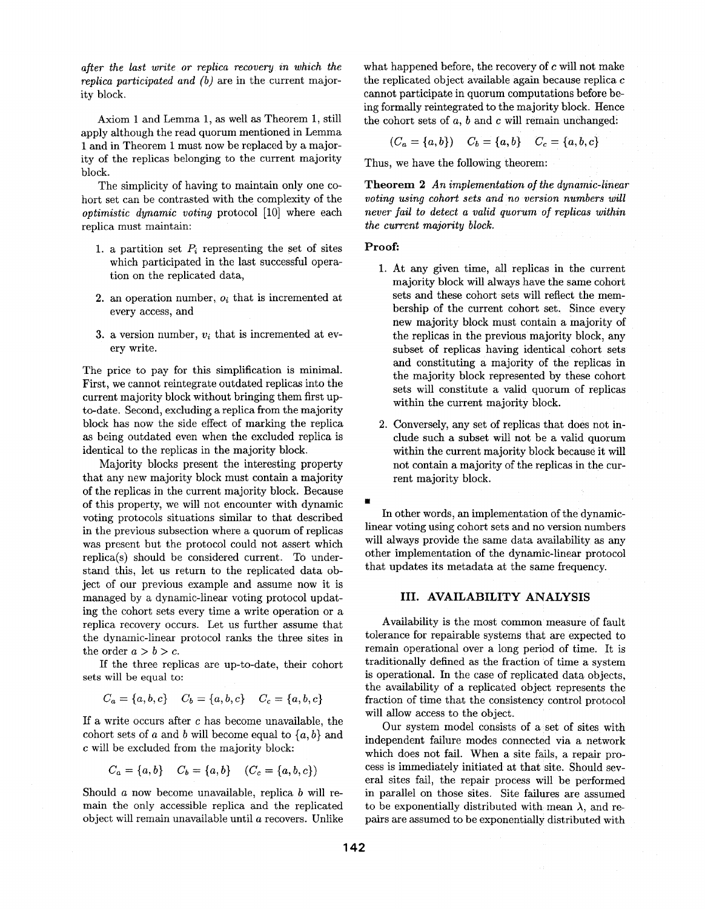after the last write or replica recovery in which the *replica participated and (b)* are in the current majority block.

Axiom 1 and Lemma 1, **as** well **as** Theorem 1, still apply although the read quorum mentioned in Lemma 1 and in Theorem 1 must now be replaced by a majority of the replicas belonging to the current majority block.

The simplicity of having to maintain only one cohort set can be contrasted with the complexity of the *optimistic dynamic voting* protocol [10] where each replica must maintain:

- 1. a partition set  $P_i$  representing the set of sites which participated in the last successful operation on the replicated data,
- **2.** an operation number, *oi* that is incremented at every access, and
- 3. a version number,  $v_i$  that is incremented at every write.

The price to pay for this simplification is minimal. First, we cannot reintegrate outdated replicas into the current majority block without bringing them first upto-date. Second, excluding a replica from the majority block has now the side effect of marking the replica as being outdated even when the excluded replica is identical to the replicas in the majority block.

Majority blocks present the interesting property that any new majority block must contain a majority of the replicas in the current majority block. Because of this property, we will not encounter with dynamic voting protocols situations similar to that described in the previous subsection where a quorum of replicas was present but the protocol could not assert which replica(s) should be considered current. To understand this, let us return to the replicated data object of our previous example and assume now it is managed by a dynamic-linear voting protocol updating the cohort sets every time a write operation or a replica recovery occurs. Let us further assume that the dynamic-linear protocol ranks the three sites in the order  $a > b > c$ .

If the three replicas are up-to-date, their cohort sets will be equal to:

$$
C_a = \{a, b, c\} \quad C_b = \{a, b, c\} \quad C_c = \{a, b, c\}
$$

If a write occurs after  $c$  has become unavailable, the cohort sets of *a* and *b* will become equal to *{a, b}* and *c* will be excluded from the majority block:

$$
C_a = \{a, b\} \quad C_b = \{a, b\} \quad (C_c = \{a, b, c\})
$$

Should *a* now become unavailable, replica *b* will remain the only accessible replica and the replicated object will remain unavailable until *a* recovers. Unlike

what happened before, the recovery of *c* will not make the replicated object available again because replica *c*  cannot participate in quorum computations before being formally reintegrated to the majority block. Hence the cohort sets of *a, b* and *c* will remain unchanged:

$$
(C_a = \{a, b\})
$$
  $C_b = \{a, b\}$   $C_c = \{a, b, c\}$ 

Thus, we have the following theorem:

**Theorem 2** *An implementation of the dynamic-linear voting using cohort sets and no version numbers will never fail to detect a valid quorum of replicas within the current majority block.* 

## **Proof:**

- 1. At any given time, all replicas in the current majority block will always have the same cohort sets and these cohort sets will reflect the membership of the current cohort set. Since every new majority block must contain a majority of the replicas in the previous majority block, any subset of replicas having identical cohort sets and constituting a majority of the replicas in the majority block represented by these cohort sets will constitute a valid quorum of replicas within the current majority block.
- **2.**  Conversely, any set of replicas that does not include such a subset will not be a valid quorum within the current majority block because it will not contain a majority of the replicas in the current majority block.

**m** 

In other words, an implementation of the dynamiclinear voting using cohort sets and no version numbers will always provide the same data availability as any other implementation of the dynamic-linear protocol that updates its metadata at the same frequency.

#### **111. AVAILABILITY ANALYSIS**

Availability is the most common measure of fault tolerance for repairable systems that are expected to remain operational over a long period of time. It is traditionally defined as the fraction of time a system is operational. In the case of replicated data objects, the availability of a replicated object represents the fraction of time that the consistency control protocol will allow access to the object.

Our system model consists of a set of sites with independent failure modes connected via a network which does not fail. When a site fails, a repair process is immediately initiated at that site. Should several sites fail, the repair process will be performed in parallel on those sites. Site failures are assumed to be exponentially distributed with mean  $\lambda$ , and repairs are assumed to be exponentially distributed with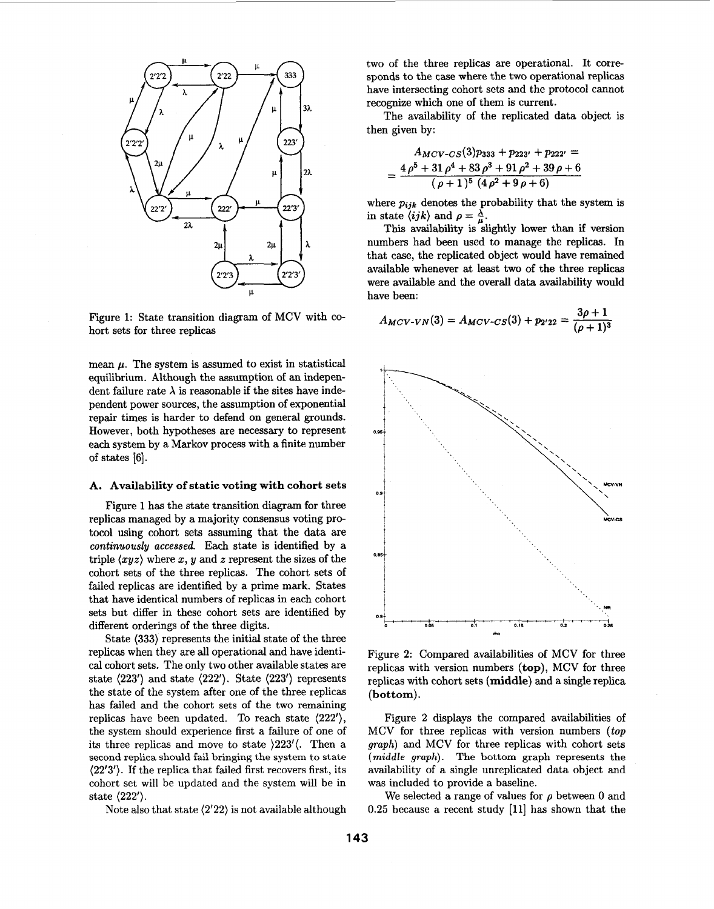

Figure **1:**  State transition hort sets for three replicas

mean  $\mu$ . The system is assumed to exist in statistical equilibrium. Although the assumption of **an** independent failure rate  $\lambda$  is reasonable if the sites have independent power sources, the assumption of exponential repair times is harder to defend on general grounds. However, both hypotheses are necessary to represent each system by a Markov process with a finite number of states *[6].* 

#### A. Availability **of** static voting with cohort sets

Figure **1** has the state transition diagram for three replicas managed by a majority consensus voting protocol using cohort sets assuming that the data are *continuously accessed.* Each state is identified by a triple *(zyz)* where z, **y** and *z* represent the sizes of the cohort sets of the three replicas. The cohort sets of failed replicas are identified by a prime mark. States that have identical numbers of replicas in each cohort sets but differ in these cohort sets are identified by different orderings of the three digits.

State **(333)** represents the initial state of the three replicas when they are all operational and have identical cohort sets. The only two other available states are state **(223')** and state **(222').** State **(223')** represents the state of the system after one of the three replicas has failed and the cohort sets of the two remaining replicas have been updated. To reach state **(222'),**  the system should experience first a failure of one of its three replicas and move to state **)223'(.** Then a **second replica should fail** bringing **the system to state (22'3').** If the replica that failed first recovers first, its cohort set will be updated and the system will be in state **(222').** 

Note also that state **(2'22)** is not available although

two of the three replicas are operational. It corresponds to the case where the two operational replicas have intersecting cohort sets and the protocol cannot recognize which one of them is current.

The availability of the replicated data object is then given by:

$$
A_{MCV-CS}(3)p_{333} + p_{223'} + p_{222'} =
$$
  
= 
$$
\frac{4\rho^5 + 31\rho^4 + 83\rho^3 + 91\rho^2 + 39\rho + 6}{(\rho + 1)^5 (4\rho^2 + 9\rho + 6)}
$$

where  $p_{ijk}$  denotes the probability that the system is in state  $\langle ijk \rangle$  and  $\rho = \frac{\lambda}{\mu}$ .

This availability is slightly lower than **if** version numbers had been used to manage the replicas. In that case, the replicated object would have remained available whenever at least two of the three replicas were available and the overall data availability would have been: in state  $(ijk)$  and  $\rho = \frac{\Delta}{\mu}$ .<br>
This availability is slightly lower than if version<br>  $\frac{2}{2}$ <br>  $\frac{2}{2}$ <br>  $\frac{2}{2}$ <br>  $\frac{2}{2}$ <br>  $\frac{2}{2}$ <br>  $\frac{2}{2}$ <br>  $\frac{2}{2}$ <br>  $\frac{2}{2}$ <br>  $\frac{2}{2}$ <br>  $\frac{2}{2}$ <br>  $\frac{2}{2}$ <br>  $\frac{2}{2}$ <br>

$$
A_{MCV-VN}(3) = A_{MCV-CS}(3) + p_{2'22} = \frac{3\rho + 1}{(\rho + 1)^3}
$$



Figure **2:** Compared availabilities of MCV for three replicas with version numbers (top), MCV for three replicas with cohort sets **(middle)** and a single replica (bottom).

Figure **2** displays the compared availabilities of MCV for three replicas with version numbers *(top graph)* and MCV for three replicas with cohort sets *(middle graph).* **The bottom graph represents the**  availability of a single unreplicated data object and was included to provide a baseline.

We selected a range of values for *p* between 0 and **0.25** because a recent study **[ll]** has shown that the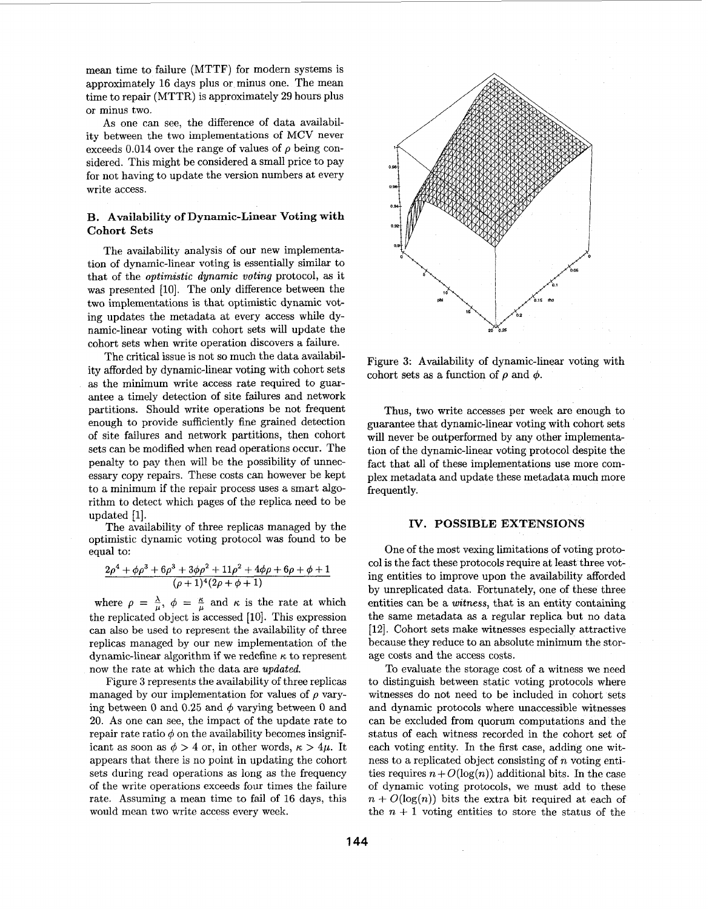mean time to failure (MTTF) for modern systems is approximately 16 days plus or minus one. The mean time to repair (MTTR) is approximately **29** hours plus or minus two.

As one can see, the difference of data availability between the two implementations of MCV never exceeds 0.014 over the range of values of  $\rho$  being considered. This might be considered a small price to pay for not having to update the version numbers at every write access.

# **B. Availability of Dynamic-Linear Voting with Cohort Sets**

The availability analysis of our new implementation of dynamic-linear voting is essentially similar to that of the *optimistic dynamic voting* protocol, **as** it was presented [10]. The only difference between the two implementations is that optimistic dynamic voting updates the metadata at every access while dynamic-linear voting with cohort sets will update the cohort sets when write operation discovers a failure.

The critical issue is not so much the data availability afforded by dynamic-linear voting with cohort sets **as** the minimum write access rate required to guaxantee a timely detection of site failures and network partitions. Should write operations be not frequent enough to provide sufficiently fine grained detection of site failures and network partitions, then cohort sets can be modified when read operations occur. The penalty to pay then will be the possibility of unnecessary copy repairs. These costs can however be kept to a minimum if the repair process uses a smart algorithm to detect which pages of the replica need to be updated [I].

The availability of three replicas managed by the optimistic dynamic voting protocol was found to be equal to:

$$
\frac{2\rho^4+\phi\rho^3+6\rho^3+3\phi\rho^2+11\rho^2+4\phi\rho+6\rho+\phi+1}{(\rho+1)^4(2\rho+\phi+1)}
$$

where  $\rho = \frac{\lambda}{\mu}, \phi = \frac{\kappa}{\mu}$  and  $\kappa$  is the rate at which the replicated object is accessed [10]. This expression can also be used to represent the availability of three replicas managed by our new implementation of the dynamic-linear algorithm if we redefine  $\kappa$  to represent now the rate at which the data are *updated.* 

Figure **3** represents the availability of three replicas managed by our implementation for values of  $\rho$  varying between 0 and 0.25 and  $\phi$  varying between 0 and 20. As one can see, the impact of the update rate to repair rate ratio  $\phi$  on the availability becomes insignificant as soon as  $\phi > 4$  or, in other words,  $\kappa > 4\mu$ . It appears that there is no point in updating the cohort sets during read operations as long as the frequency of the write operations exceeds four times the failure rate. Assuming a mean time to fail of 16 days, this would mean two write access every week.



Figure **3:** Availability of dynamic-linear voting with cohort sets as a function of  $\rho$  and  $\phi$ .

Thus, two write accesses per week axe enough to guarantee that dynamic-linear voting with cohort sets will never be outperformed by any other implementation of the dynamic-linear voting protocol despite the fact that all of these implementations use more complex metadata and update these metadata much more frequently.

#### **IV. POSSIBLE EXTENSIONS**

One of the most vexing limitations of voting protocol is the fact these protocols require at least three voting entities to improve upon the availability afforded by unreplicated data. Fortunately, one of these three entities can be a *witness,* that is an entity containing the same metadata **as** a regular replica but no data [12]. Cohort sets make witnesses especially attractive because they reduce to an absolute minimum the storage costs and the access costs.

To evaluate the storage cost of a witness we need to distinguish between static voting protocols where witnesses do not need to be included in cohort sets and dynamic protocols where unaccessible witnesses can be excluded from quorum computations and the status of each witness recorded in the cohort set of each voting entity. In the first case, adding one witness to a replicated object consisting of *n* voting entities requires  $n+O(\log(n))$  additional bits. In the case of dynamic voting protocols, we must add to these  $n + O(\log(n))$  bits the extra bit required at each of the  $n + 1$  voting entities to store the status of the